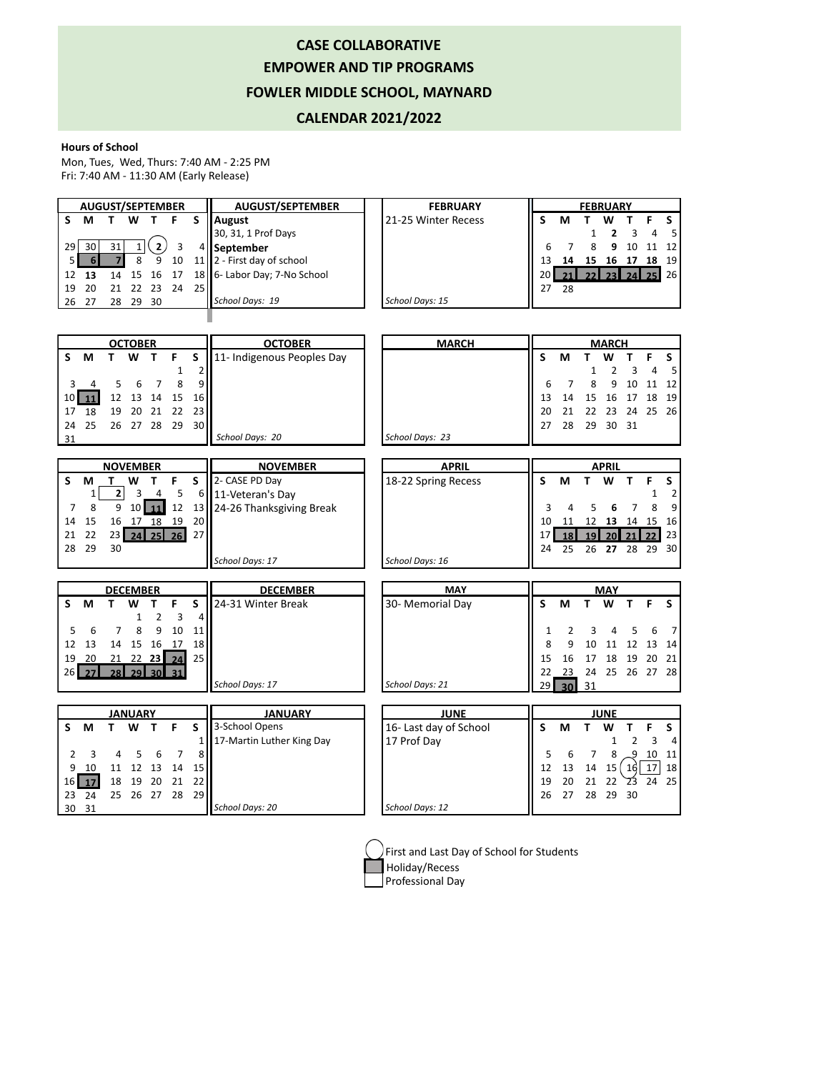## **CASE COLLABORATIVE EMPOWER AND TIP PROGRAMS FOWLER MIDDLE SCHOOL, MAYNARD**

## **CALENDAR 2021/2022**

## **Hours of School**

Mon, Tues, Wed, Thurs: 7:40 AM - 2:25 PM Fri: 7:40 AM - 11:30 AM (Early Release)

| <b>AUGUST/SEPTEMBER</b> |                 |    |       |      |     |                 | <b>AUGUST/SEPTEMBER</b>               | <b>FEBRUARY</b>     | <b>FEBRUARY</b> |    |    |              |    |      |                |
|-------------------------|-----------------|----|-------|------|-----|-----------------|---------------------------------------|---------------------|-----------------|----|----|--------------|----|------|----------------|
|                         | м               |    | W     |      | F   |                 | August                                | 21-25 Winter Recess |                 | м  |    | w            |    |      |                |
|                         |                 |    |       |      |     |                 | 30, 31, 1 Prof Days                   |                     |                 |    |    |              |    |      | 5 <sup>1</sup> |
| 29                      | 30 <sub>l</sub> | 31 |       |      |     |                 | l September                           |                     | 6               |    |    | 9            | 10 |      | 12             |
| 5 I                     | 6               |    |       | 9    | 10  |                 | 11   $\sqrt{2}$ - First day of school |                     | 13              | 14 | 15 | 16           | 17 | 18   | 19             |
| 12                      | - 13            |    | 14 15 | 16   | -17 |                 | 18   6- Labor Day; 7-No School        |                     | 20 l            |    |    | $23\text{V}$ | 24 | $25$ | 26             |
| 19                      | 20              | 21 | 22    | -23  | 24  | 25 <sub>1</sub> |                                       |                     | 27              | 28 |    |              |    |      |                |
| 26                      | - 27            | 28 | 29    | - 30 |     |                 | School Days: 19                       | School Days: 15     |                 |    |    |              |    |      |                |
|                         |                 |    |       |      |     |                 |                                       |                     |                 |    |    |              |    |      |                |

|                 |          |    | <b>OCTOBER</b>  |                |    |        | <b>OCTOBER</b>             | <b>MARCH</b>           | <b>MARCH</b> |                 |    |              |                     |    |                 |
|-----------------|----------|----|-----------------|----------------|----|--------|----------------------------|------------------------|--------------|-----------------|----|--------------|---------------------|----|-----------------|
| S               | М        | T. | W               | т              | F  | S      | 11- Indigenous Peoples Day |                        | S            | M               | т  | w            |                     | F  | S               |
|                 |          |    |                 |                | 1  | 2      |                            |                        |              |                 | 1  | 2            | 3                   | 4  | 5               |
| 3               | 4        | 5  | 6               | 7              | 8  | 9      |                            |                        | 6            | 7               | 8  | 9            | 10                  | 11 | 12              |
| 10              | 11       | 12 | 13              | 14             | 15 | 16     |                            |                        | 13           | 14              | 15 | 16           | 17                  | 18 | 19              |
| 17              | 18       | 19 | 20              | 21             | 22 | 23     |                            |                        | 20           | 21              | 22 | 23           | 24                  | 25 | 26              |
| 24              | 25       | 26 |                 | 27 28          | 29 | 30     |                            |                        | 27           | 28              | 29 | 30           | 31                  |    |                 |
| 31              |          |    |                 |                |    |        | School Days: 20            | School Days: 23        |              |                 |    |              |                     |    |                 |
|                 |          |    |                 |                |    |        |                            |                        |              |                 |    |              |                     |    |                 |
| <b>NOVEMBER</b> |          |    |                 |                |    |        | <b>NOVEMBER</b>            | <b>APRIL</b>           |              |                 |    | <b>APRIL</b> |                     |    |                 |
| S               | M        | т  | W               | т              | F  | S      | 2- CASE PD Day             | 18-22 Spring Recess    | S            | M               | т  | W            | т                   | F  | S               |
|                 | 1        | 2  | 3               | 4              | 5  | 6      | 11-Veteran's Day           |                        |              |                 |    |              |                     | 1  | 2               |
| 7               | 8        | 9  |                 | 10 11          | 12 | 13     | 24-26 Thanksgiving Break   |                        | 3            | 4               | 5  | 6            | 7                   | 8  | 9               |
| 14              | 15       | 16 |                 | 17 18          | 19 | 20     |                            |                        | 10           | 11              | 12 | 13           | 14 15               |    | 16              |
| 21              | 22       |    | $23$ 24 25 26   |                |    | 27     |                            |                        | 17           | 18              | 19 | 20           |                     |    | 23              |
| 28              | 29       | 30 |                 |                |    |        |                            |                        | 24           | 25              | 26 | 27 28        |                     | 29 | 30 <sup>1</sup> |
|                 |          |    |                 |                |    |        | School Days: 17            | School Days: 16        |              |                 |    |              |                     |    |                 |
|                 |          |    |                 |                |    |        |                            |                        |              |                 |    |              |                     |    |                 |
|                 |          |    | <b>DECEMBER</b> |                |    |        | <b>DECEMBER</b>            | <b>MAY</b>             | <b>MAY</b>   |                 |    |              |                     |    |                 |
| S               | M        | т  | w               | т              | F  | S      | 24-31 Winter Break         | 30- Memorial Day       | S            | М               | T  | W            | T.                  | F  | S               |
|                 |          |    | 1               | $\overline{2}$ | 3  | 4      |                            |                        |              |                 |    |              |                     |    |                 |
| 5               | 6        | 7  | 8               | 9              | 10 | 11     |                            |                        | 1            | 2               | 3  |              | 5                   | 6  | $\overline{7}$  |
| 12              | 13       | 14 | 15              | 16             | 17 | 18     |                            |                        | 8            | 9               | 10 | 11           | 12                  | 13 | 14              |
| 19              | 20       |    | $21 \t22 \t23$  |                |    | 25     |                            |                        | 15           | 16              | 17 | 18           | 19                  | 20 | 21              |
| 26              | 27       |    | 28 29 30        |                |    |        |                            |                        | 22           | 23              |    | 24 25        | 26                  | 27 | 28              |
|                 |          |    |                 |                |    |        | School Days: 17            | School Days: 21        | 29           | 30 <sup>1</sup> | 31 |              |                     |    |                 |
| <b>JANUARY</b>  |          |    |                 |                |    |        | <b>JANUARY</b>             | <b>JUNE</b>            | <b>JUNE</b>  |                 |    |              |                     |    |                 |
| S               |          |    |                 |                |    |        |                            |                        |              |                 |    |              |                     |    |                 |
|                 |          |    |                 |                |    |        |                            |                        |              |                 |    |              |                     |    |                 |
|                 | M        | т  | W               | $\mathbf{T}$   | F  | S<br>1 | 3-School Opens             | 16- Last day of School | S            | M               | T  | W            |                     | F  | S               |
| 2               | 3        | 4  |                 |                | 7  | 8      | 17-Martin Luther King Day  | 17 Prof Day            |              |                 |    |              | $\overline{2}$<br>9 | 3  | 4               |
|                 |          |    | 5               | 6              |    |        |                            |                        | 5            | 6               | 7  | 8            |                     | 10 | 11              |
| 9               | 10       | 11 | 12              | 13             | 14 | 15     |                            |                        | 12           | 13              | 14 | 15(10)       |                     | 17 | 18              |
| 16              | 17       | 18 | 19              | 20             | 21 | 22     |                            |                        | 19           | 20              | 21 | 22           | 23                  | 24 | 25              |
| 23<br>30        | 24<br>31 | 25 | 26              | 27             | 28 | 29     | School Days: 20            | School Days: 12        | 26           | 27              | 28 | 29           | 30                  |    |                 |



 $\sum$ First and Last Day of School for Students Holiday/Recess

Professional Day